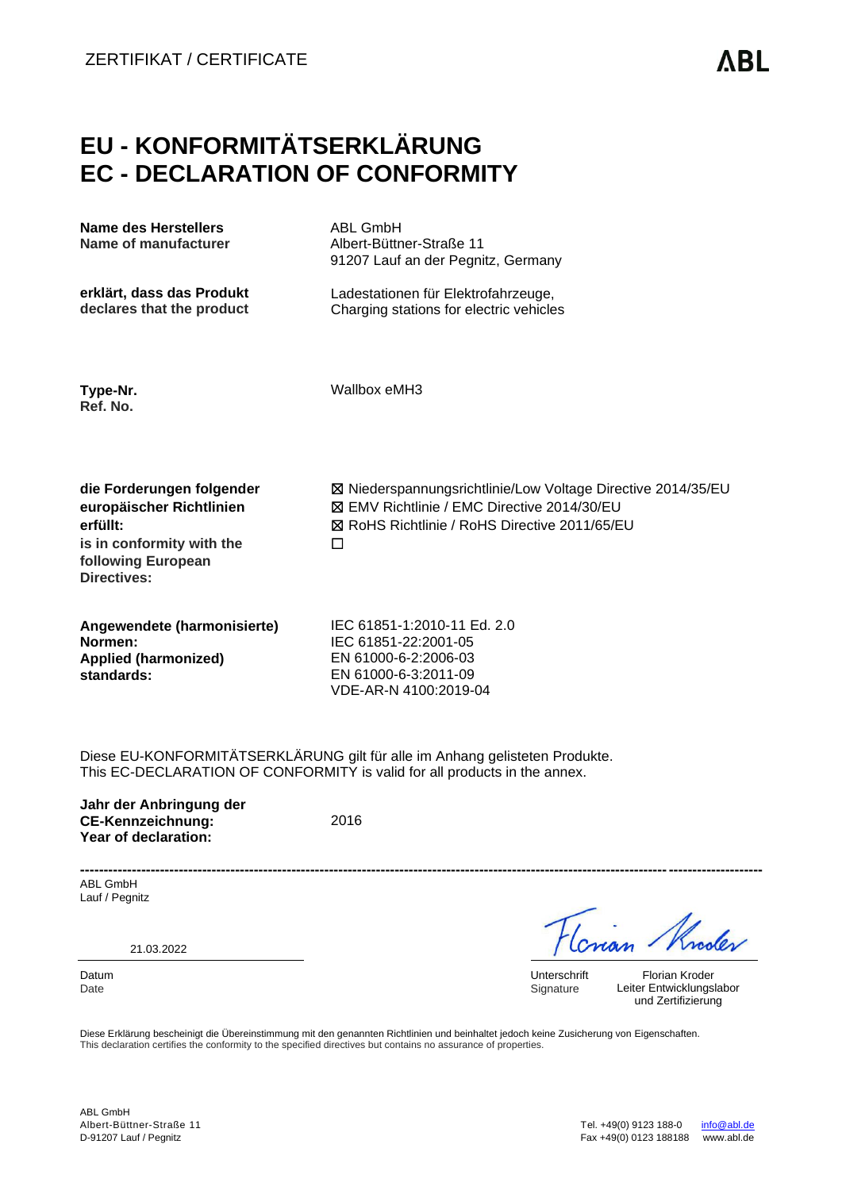# **EU - KONFORMITÄTSERKLÄRUNG EC - DECLARATION OF CONFORMITY**

| Name des Herstellers<br>Name of manufacturer                                                                                               | <b>ABL GmbH</b><br>Albert-Büttner-Straße 11<br>91207 Lauf an der Pegnitz, Germany                                                                                        |
|--------------------------------------------------------------------------------------------------------------------------------------------|--------------------------------------------------------------------------------------------------------------------------------------------------------------------------|
| erklärt, dass das Produkt<br>declares that the product                                                                                     | Ladestationen für Elektrofahrzeuge,<br>Charging stations for electric vehicles                                                                                           |
| Type-Nr.<br>Ref. No.                                                                                                                       | Wallbox eMH3                                                                                                                                                             |
| die Forderungen folgender<br>europäischer Richtlinien<br>erfüllt:<br>is in conformity with the<br>following European<br><b>Directives:</b> | ⊠ Niederspannungsrichtlinie/Low Voltage Directive 2014/35/EU<br>⊠ EMV Richtlinie / EMC Directive 2014/30/EU<br><b>⊠ RoHS Richtlinie / RoHS Directive 2011/65/EU</b><br>П |
| Angewendete (harmonisierte)<br>Normen:<br><b>Applied (harmonized)</b><br>standards:                                                        | IEC 61851-1:2010-11 Ed. 2.0<br>IEC 61851-22:2001-05<br>EN 61000-6-2:2006-03<br>EN 61000-6-3:2011-09<br>VDE-AR-N 4100:2019-04                                             |

Diese EU-KONFORMITÄTSERKLÄRUNG gilt für alle im Anhang gelisteten Produkte. This EC-DECLARATION OF CONFORMITY is valid for all products in the annex.

**Jahr der Anbringung der CE-Kennzeichnung: Year of declaration:**

2016

**-------------------------------------------------------------------------------------------------------------------------------------------------** ABL GmbH Lauf / Pegnitz

21.03.2022

noder

Datum Unterschrift<br>
Date Signature Signature Signature

Florian Kroder Leiter Entwicklungslabor und Zertifizierung

Diese Erklärung bescheinigt die Übereinstimmung mit den genannten Richtlinien und beinhaltet jedoch keine Zusicherung von Eigenschaften. This declaration certifies the conformity to the specified directives but contains no assurance of properties.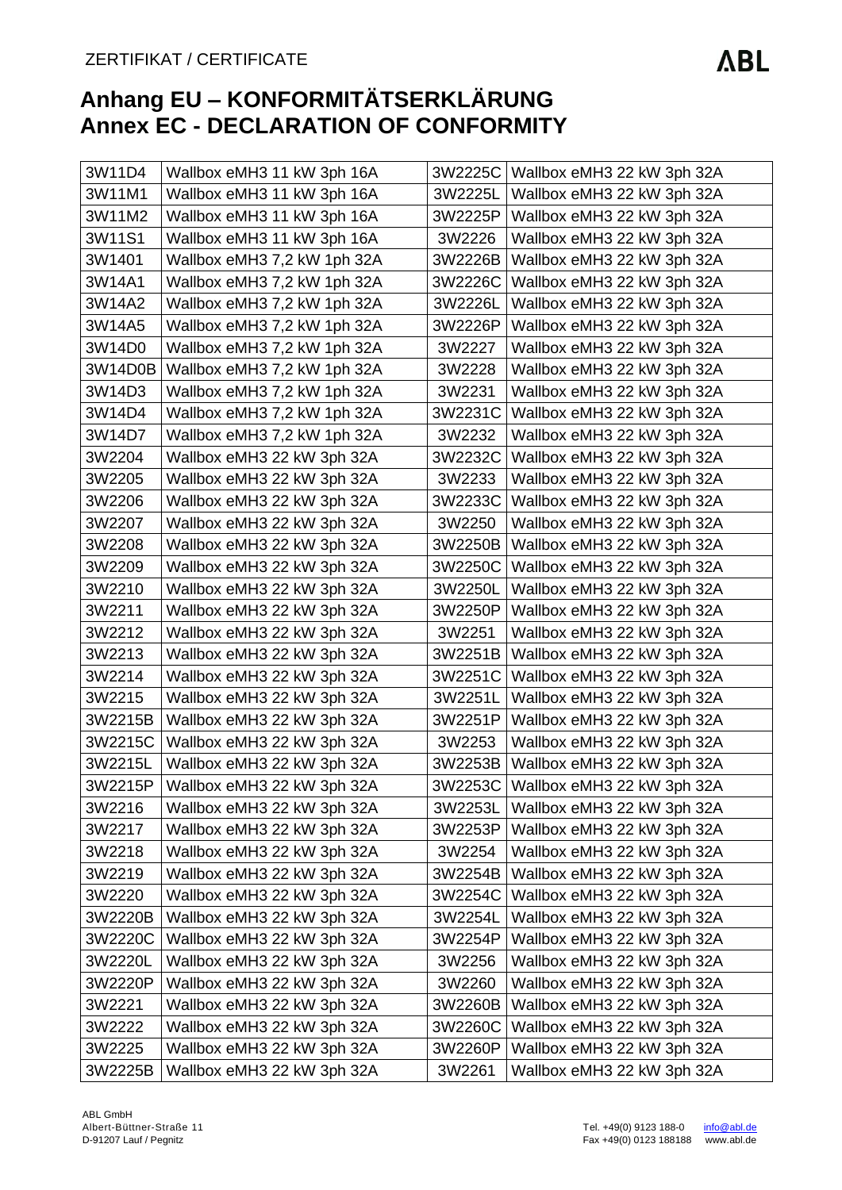| 3W11D4  | Wallbox eMH3 11 kW 3ph 16A  |         | 3W2225C   Wallbox eMH3 22 kW 3ph 32A |
|---------|-----------------------------|---------|--------------------------------------|
| 3W11M1  | Wallbox eMH3 11 kW 3ph 16A  | 3W2225L | Wallbox eMH3 22 kW 3ph 32A           |
| 3W11M2  | Wallbox eMH3 11 kW 3ph 16A  | 3W2225P | Wallbox eMH3 22 kW 3ph 32A           |
| 3W11S1  | Wallbox eMH3 11 kW 3ph 16A  | 3W2226  | Wallbox eMH3 22 kW 3ph 32A           |
| 3W1401  | Wallbox eMH3 7,2 kW 1ph 32A | 3W2226B | Wallbox eMH3 22 kW 3ph 32A           |
| 3W14A1  | Wallbox eMH3 7,2 kW 1ph 32A | 3W2226C | Wallbox eMH3 22 kW 3ph 32A           |
| 3W14A2  | Wallbox eMH3 7,2 kW 1ph 32A | 3W2226L | Wallbox eMH3 22 kW 3ph 32A           |
| 3W14A5  | Wallbox eMH3 7,2 kW 1ph 32A | 3W2226P | Wallbox eMH3 22 kW 3ph 32A           |
| 3W14D0  | Wallbox eMH3 7,2 kW 1ph 32A | 3W2227  | Wallbox eMH3 22 kW 3ph 32A           |
| 3W14D0B | Wallbox eMH3 7,2 kW 1ph 32A | 3W2228  | Wallbox eMH3 22 kW 3ph 32A           |
| 3W14D3  | Wallbox eMH3 7,2 kW 1ph 32A | 3W2231  | Wallbox eMH3 22 kW 3ph 32A           |
| 3W14D4  | Wallbox eMH3 7,2 kW 1ph 32A | 3W2231C | Wallbox eMH3 22 kW 3ph 32A           |
| 3W14D7  | Wallbox eMH3 7,2 kW 1ph 32A | 3W2232  | Wallbox eMH3 22 kW 3ph 32A           |
| 3W2204  | Wallbox eMH3 22 kW 3ph 32A  | 3W2232C | Wallbox eMH3 22 kW 3ph 32A           |
| 3W2205  | Wallbox eMH3 22 kW 3ph 32A  | 3W2233  | Wallbox eMH3 22 kW 3ph 32A           |
| 3W2206  | Wallbox eMH3 22 kW 3ph 32A  | 3W2233C | Wallbox eMH3 22 kW 3ph 32A           |
| 3W2207  | Wallbox eMH3 22 kW 3ph 32A  | 3W2250  | Wallbox eMH3 22 kW 3ph 32A           |
| 3W2208  | Wallbox eMH3 22 kW 3ph 32A  | 3W2250B | Wallbox eMH3 22 kW 3ph 32A           |
| 3W2209  | Wallbox eMH3 22 kW 3ph 32A  | 3W2250C | Wallbox eMH3 22 kW 3ph 32A           |
| 3W2210  | Wallbox eMH3 22 kW 3ph 32A  | 3W2250L | Wallbox eMH3 22 kW 3ph 32A           |
| 3W2211  | Wallbox eMH3 22 kW 3ph 32A  | 3W2250P | Wallbox eMH3 22 kW 3ph 32A           |
| 3W2212  | Wallbox eMH3 22 kW 3ph 32A  | 3W2251  | Wallbox eMH3 22 kW 3ph 32A           |
| 3W2213  | Wallbox eMH3 22 kW 3ph 32A  | 3W2251B | Wallbox eMH3 22 kW 3ph 32A           |
| 3W2214  | Wallbox eMH3 22 kW 3ph 32A  | 3W2251C | Wallbox eMH3 22 kW 3ph 32A           |
| 3W2215  | Wallbox eMH3 22 kW 3ph 32A  | 3W2251L | Wallbox eMH3 22 kW 3ph 32A           |
| 3W2215B | Wallbox eMH3 22 kW 3ph 32A  | 3W2251P | Wallbox eMH3 22 kW 3ph 32A           |
| 3W2215C | Wallbox eMH3 22 kW 3ph 32A  | 3W2253  | Wallbox eMH3 22 kW 3ph 32A           |
| 3W2215L | Wallbox eMH3 22 kW 3ph 32A  | 3W2253B | Wallbox eMH3 22 kW 3ph 32A           |
| 3W2215P | Wallbox eMH3 22 kW 3ph 32A  | 3W2253C | Wallbox eMH3 22 kW 3ph 32A           |
| 3W2216  | Wallbox eMH3 22 kW 3ph 32A  | 3W2253L | Wallbox eMH3 22 kW 3ph 32A           |
| 3W2217  | Wallbox eMH3 22 kW 3ph 32A  | 3W2253P | Wallbox eMH3 22 kW 3ph 32A           |
| 3W2218  | Wallbox eMH3 22 kW 3ph 32A  | 3W2254  | Wallbox eMH3 22 kW 3ph 32A           |
| 3W2219  | Wallbox eMH3 22 kW 3ph 32A  | 3W2254B | Wallbox eMH3 22 kW 3ph 32A           |
| 3W2220  | Wallbox eMH3 22 kW 3ph 32A  | 3W2254C | Wallbox eMH3 22 kW 3ph 32A           |
| 3W2220B | Wallbox eMH3 22 kW 3ph 32A  | 3W2254L | Wallbox eMH3 22 kW 3ph 32A           |
| 3W2220C | Wallbox eMH3 22 kW 3ph 32A  | 3W2254P | Wallbox eMH3 22 kW 3ph 32A           |
| 3W2220L | Wallbox eMH3 22 kW 3ph 32A  | 3W2256  | Wallbox eMH3 22 kW 3ph 32A           |
| 3W2220P | Wallbox eMH3 22 kW 3ph 32A  | 3W2260  | Wallbox eMH3 22 kW 3ph 32A           |
| 3W2221  | Wallbox eMH3 22 kW 3ph 32A  | 3W2260B | Wallbox eMH3 22 kW 3ph 32A           |
| 3W2222  | Wallbox eMH3 22 kW 3ph 32A  | 3W2260C | Wallbox eMH3 22 kW 3ph 32A           |
| 3W2225  | Wallbox eMH3 22 kW 3ph 32A  | 3W2260P | Wallbox eMH3 22 kW 3ph 32A           |
| 3W2225B | Wallbox eMH3 22 kW 3ph 32A  | 3W2261  | Wallbox eMH3 22 kW 3ph 32A           |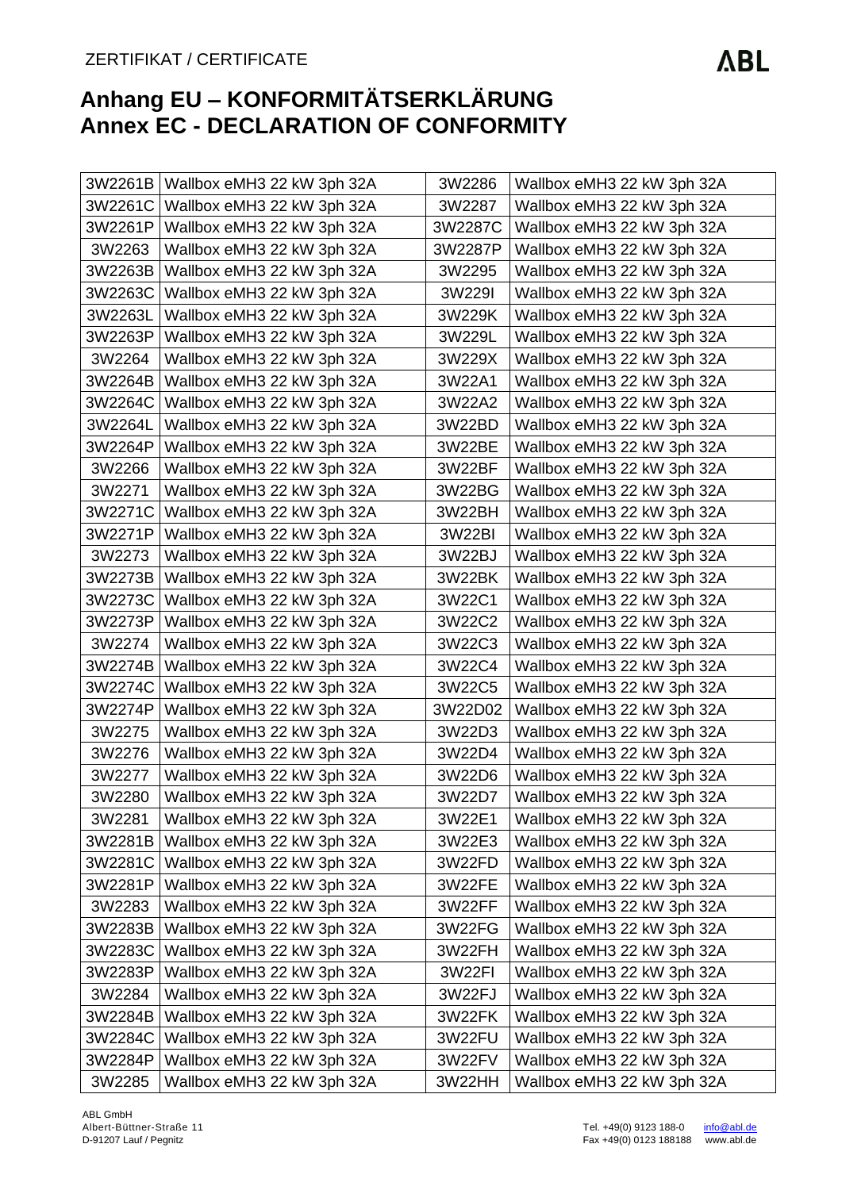|         | 3W2261B   Wallbox eMH3 22 kW 3ph 32A | 3W2286  | Wallbox eMH3 22 kW 3ph 32A |
|---------|--------------------------------------|---------|----------------------------|
| 3W2261C | Wallbox eMH3 22 kW 3ph 32A           | 3W2287  | Wallbox eMH3 22 kW 3ph 32A |
| 3W2261P | Wallbox eMH3 22 kW 3ph 32A           | 3W2287C | Wallbox eMH3 22 kW 3ph 32A |
| 3W2263  | Wallbox eMH3 22 kW 3ph 32A           | 3W2287P | Wallbox eMH3 22 kW 3ph 32A |
| 3W2263B | Wallbox eMH3 22 kW 3ph 32A           | 3W2295  | Wallbox eMH3 22 kW 3ph 32A |
| 3W2263C | Wallbox eMH3 22 kW 3ph 32A           | 3W229I  | Wallbox eMH3 22 kW 3ph 32A |
| 3W2263L | Wallbox eMH3 22 kW 3ph 32A           | 3W229K  | Wallbox eMH3 22 kW 3ph 32A |
| 3W2263P | Wallbox eMH3 22 kW 3ph 32A           | 3W229L  | Wallbox eMH3 22 kW 3ph 32A |
| 3W2264  | Wallbox eMH3 22 kW 3ph 32A           | 3W229X  | Wallbox eMH3 22 kW 3ph 32A |
| 3W2264B | Wallbox eMH3 22 kW 3ph 32A           | 3W22A1  | Wallbox eMH3 22 kW 3ph 32A |
| 3W2264C | Wallbox eMH3 22 kW 3ph 32A           | 3W22A2  | Wallbox eMH3 22 kW 3ph 32A |
| 3W2264L | Wallbox eMH3 22 kW 3ph 32A           | 3W22BD  | Wallbox eMH3 22 kW 3ph 32A |
| 3W2264P | Wallbox eMH3 22 kW 3ph 32A           | 3W22BE  | Wallbox eMH3 22 kW 3ph 32A |
| 3W2266  | Wallbox eMH3 22 kW 3ph 32A           | 3W22BF  | Wallbox eMH3 22 kW 3ph 32A |
| 3W2271  | Wallbox eMH3 22 kW 3ph 32A           | 3W22BG  | Wallbox eMH3 22 kW 3ph 32A |
| 3W2271C | Wallbox eMH3 22 kW 3ph 32A           | 3W22BH  | Wallbox eMH3 22 kW 3ph 32A |
| 3W2271P | Wallbox eMH3 22 kW 3ph 32A           | 3W22BI  | Wallbox eMH3 22 kW 3ph 32A |
| 3W2273  | Wallbox eMH3 22 kW 3ph 32A           | 3W22BJ  | Wallbox eMH3 22 kW 3ph 32A |
| 3W2273B | Wallbox eMH3 22 kW 3ph 32A           | 3W22BK  | Wallbox eMH3 22 kW 3ph 32A |
| 3W2273C | Wallbox eMH3 22 kW 3ph 32A           | 3W22C1  | Wallbox eMH3 22 kW 3ph 32A |
| 3W2273P | Wallbox eMH3 22 kW 3ph 32A           | 3W22C2  | Wallbox eMH3 22 kW 3ph 32A |
| 3W2274  | Wallbox eMH3 22 kW 3ph 32A           | 3W22C3  | Wallbox eMH3 22 kW 3ph 32A |
| 3W2274B | Wallbox eMH3 22 kW 3ph 32A           | 3W22C4  | Wallbox eMH3 22 kW 3ph 32A |
| 3W2274C | Wallbox eMH3 22 kW 3ph 32A           | 3W22C5  | Wallbox eMH3 22 kW 3ph 32A |
| 3W2274P | Wallbox eMH3 22 kW 3ph 32A           | 3W22D02 | Wallbox eMH3 22 kW 3ph 32A |
| 3W2275  | Wallbox eMH3 22 kW 3ph 32A           | 3W22D3  | Wallbox eMH3 22 kW 3ph 32A |
| 3W2276  | Wallbox eMH3 22 kW 3ph 32A           | 3W22D4  | Wallbox eMH3 22 kW 3ph 32A |
| 3W2277  | Wallbox eMH3 22 kW 3ph 32A           | 3W22D6  | Wallbox eMH3 22 kW 3ph 32A |
| 3W2280  | Wallbox eMH3 22 kW 3ph 32A           | 3W22D7  | Wallbox eMH3 22 kW 3ph 32A |
| 3W2281  | Wallbox eMH3 22 kW 3ph 32A           | 3W22E1  | Wallbox eMH3 22 kW 3ph 32A |
| 3W2281B | Wallbox eMH3 22 kW 3ph 32A           | 3W22E3  | Wallbox eMH3 22 kW 3ph 32A |
| 3W2281C | Wallbox eMH3 22 kW 3ph 32A           | 3W22FD  | Wallbox eMH3 22 kW 3ph 32A |
| 3W2281P | Wallbox eMH3 22 kW 3ph 32A           | 3W22FE  | Wallbox eMH3 22 kW 3ph 32A |
| 3W2283  | Wallbox eMH3 22 kW 3ph 32A           | 3W22FF  | Wallbox eMH3 22 kW 3ph 32A |
| 3W2283B | Wallbox eMH3 22 kW 3ph 32A           | 3W22FG  | Wallbox eMH3 22 kW 3ph 32A |
| 3W2283C | Wallbox eMH3 22 kW 3ph 32A           | 3W22FH  | Wallbox eMH3 22 kW 3ph 32A |
| 3W2283P | Wallbox eMH3 22 kW 3ph 32A           | 3W22FI  | Wallbox eMH3 22 kW 3ph 32A |
| 3W2284  | Wallbox eMH3 22 kW 3ph 32A           | 3W22FJ  | Wallbox eMH3 22 kW 3ph 32A |
| 3W2284B | Wallbox eMH3 22 kW 3ph 32A           | 3W22FK  | Wallbox eMH3 22 kW 3ph 32A |
| 3W2284C | Wallbox eMH3 22 kW 3ph 32A           | 3W22FU  | Wallbox eMH3 22 kW 3ph 32A |
| 3W2284P | Wallbox eMH3 22 kW 3ph 32A           | 3W22FV  | Wallbox eMH3 22 kW 3ph 32A |
| 3W2285  | Wallbox eMH3 22 kW 3ph 32A           | 3W22HH  | Wallbox eMH3 22 kW 3ph 32A |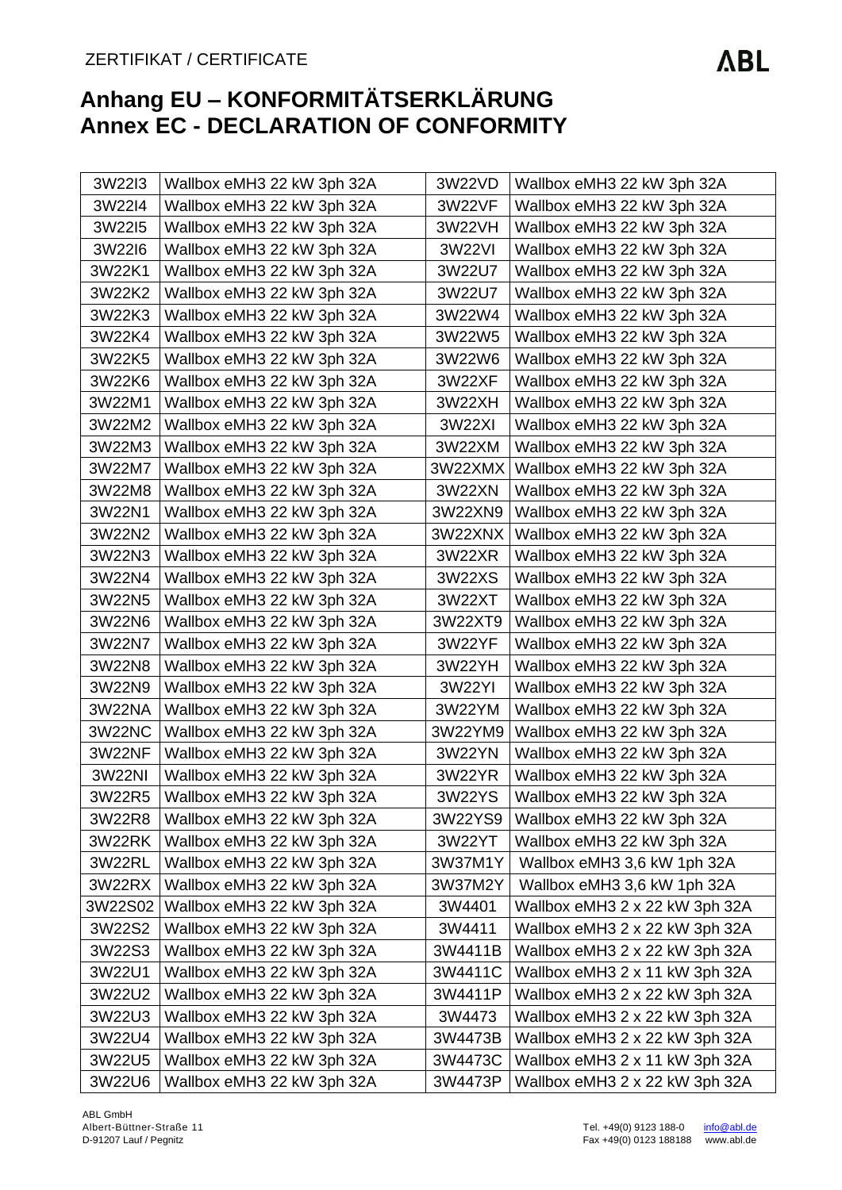| 3W22I3  | Wallbox eMH3 22 kW 3ph 32A | 3W22VD  | Wallbox eMH3 22 kW 3ph 32A     |
|---------|----------------------------|---------|--------------------------------|
| 3W22I4  | Wallbox eMH3 22 kW 3ph 32A | 3W22VF  | Wallbox eMH3 22 kW 3ph 32A     |
| 3W22I5  | Wallbox eMH3 22 kW 3ph 32A | 3W22VH  | Wallbox eMH3 22 kW 3ph 32A     |
| 3W22I6  | Wallbox eMH3 22 kW 3ph 32A | 3W22VI  | Wallbox eMH3 22 kW 3ph 32A     |
| 3W22K1  | Wallbox eMH3 22 kW 3ph 32A | 3W22U7  | Wallbox eMH3 22 kW 3ph 32A     |
| 3W22K2  | Wallbox eMH3 22 kW 3ph 32A | 3W22U7  | Wallbox eMH3 22 kW 3ph 32A     |
| 3W22K3  | Wallbox eMH3 22 kW 3ph 32A | 3W22W4  | Wallbox eMH3 22 kW 3ph 32A     |
| 3W22K4  | Wallbox eMH3 22 kW 3ph 32A | 3W22W5  | Wallbox eMH3 22 kW 3ph 32A     |
| 3W22K5  | Wallbox eMH3 22 kW 3ph 32A | 3W22W6  | Wallbox eMH3 22 kW 3ph 32A     |
| 3W22K6  | Wallbox eMH3 22 kW 3ph 32A | 3W22XF  | Wallbox eMH3 22 kW 3ph 32A     |
| 3W22M1  | Wallbox eMH3 22 kW 3ph 32A | 3W22XH  | Wallbox eMH3 22 kW 3ph 32A     |
| 3W22M2  | Wallbox eMH3 22 kW 3ph 32A | 3W22XI  | Wallbox eMH3 22 kW 3ph 32A     |
| 3W22M3  | Wallbox eMH3 22 kW 3ph 32A | 3W22XM  | Wallbox eMH3 22 kW 3ph 32A     |
| 3W22M7  | Wallbox eMH3 22 kW 3ph 32A | 3W22XMX | Wallbox eMH3 22 kW 3ph 32A     |
| 3W22M8  | Wallbox eMH3 22 kW 3ph 32A | 3W22XN  | Wallbox eMH3 22 kW 3ph 32A     |
| 3W22N1  | Wallbox eMH3 22 kW 3ph 32A | 3W22XN9 | Wallbox eMH3 22 kW 3ph 32A     |
| 3W22N2  | Wallbox eMH3 22 kW 3ph 32A | 3W22XNX | Wallbox eMH3 22 kW 3ph 32A     |
| 3W22N3  | Wallbox eMH3 22 kW 3ph 32A | 3W22XR  | Wallbox eMH3 22 kW 3ph 32A     |
| 3W22N4  | Wallbox eMH3 22 kW 3ph 32A | 3W22XS  | Wallbox eMH3 22 kW 3ph 32A     |
| 3W22N5  | Wallbox eMH3 22 kW 3ph 32A | 3W22XT  | Wallbox eMH3 22 kW 3ph 32A     |
| 3W22N6  | Wallbox eMH3 22 kW 3ph 32A | 3W22XT9 | Wallbox eMH3 22 kW 3ph 32A     |
| 3W22N7  | Wallbox eMH3 22 kW 3ph 32A | 3W22YF  | Wallbox eMH3 22 kW 3ph 32A     |
| 3W22N8  | Wallbox eMH3 22 kW 3ph 32A | 3W22YH  | Wallbox eMH3 22 kW 3ph 32A     |
| 3W22N9  | Wallbox eMH3 22 kW 3ph 32A | 3W22YI  | Wallbox eMH3 22 kW 3ph 32A     |
| 3W22NA  | Wallbox eMH3 22 kW 3ph 32A | 3W22YM  | Wallbox eMH3 22 kW 3ph 32A     |
| 3W22NC  | Wallbox eMH3 22 kW 3ph 32A | 3W22YM9 | Wallbox eMH3 22 kW 3ph 32A     |
| 3W22NF  | Wallbox eMH3 22 kW 3ph 32A | 3W22YN  | Wallbox eMH3 22 kW 3ph 32A     |
| 3W22NI  | Wallbox eMH3 22 kW 3ph 32A | 3W22YR  | Wallbox eMH3 22 kW 3ph 32A     |
| 3W22R5  | Wallbox eMH3 22 kW 3ph 32A | 3W22YS  | Wallbox eMH3 22 kW 3ph 32A     |
| 3W22R8  | Wallbox eMH3 22 kW 3ph 32A | 3W22YS9 | Wallbox eMH3 22 kW 3ph 32A     |
| 3W22RK  | Wallbox eMH3 22 kW 3ph 32A | 3W22YT  | Wallbox eMH3 22 kW 3ph 32A     |
| 3W22RL  | Wallbox eMH3 22 kW 3ph 32A | 3W37M1Y | Wallbox eMH3 3,6 kW 1ph 32A    |
| 3W22RX  | Wallbox eMH3 22 kW 3ph 32A | 3W37M2Y | Wallbox eMH3 3,6 kW 1ph 32A    |
| 3W22S02 | Wallbox eMH3 22 kW 3ph 32A | 3W4401  | Wallbox eMH3 2 x 22 kW 3ph 32A |
| 3W22S2  | Wallbox eMH3 22 kW 3ph 32A | 3W4411  | Wallbox eMH3 2 x 22 kW 3ph 32A |
| 3W22S3  | Wallbox eMH3 22 kW 3ph 32A | 3W4411B | Wallbox eMH3 2 x 22 kW 3ph 32A |
| 3W22U1  | Wallbox eMH3 22 kW 3ph 32A | 3W4411C | Wallbox eMH3 2 x 11 kW 3ph 32A |
| 3W22U2  | Wallbox eMH3 22 kW 3ph 32A | 3W4411P | Wallbox eMH3 2 x 22 kW 3ph 32A |
| 3W22U3  | Wallbox eMH3 22 kW 3ph 32A | 3W4473  | Wallbox eMH3 2 x 22 kW 3ph 32A |
| 3W22U4  | Wallbox eMH3 22 kW 3ph 32A | 3W4473B | Wallbox eMH3 2 x 22 kW 3ph 32A |
| 3W22U5  | Wallbox eMH3 22 kW 3ph 32A | 3W4473C | Wallbox eMH3 2 x 11 kW 3ph 32A |
| 3W22U6  | Wallbox eMH3 22 kW 3ph 32A | 3W4473P | Wallbox eMH3 2 x 22 kW 3ph 32A |